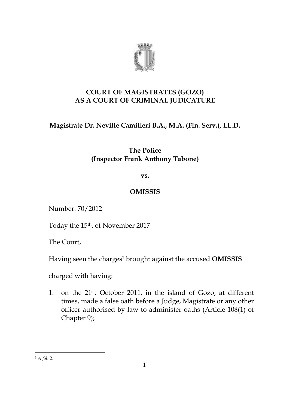

## **COURT OF MAGISTRATES (GOZO) AS A COURT OF CRIMINAL JUDICATURE**

# **Magistrate Dr. Neville Camilleri B.A., M.A. (Fin. Serv.), LL.D.**

## **The Police (Inspector Frank Anthony Tabone)**

**vs.**

## **OMISSIS**

Number: 70/2012

Today the 15th. of November 2017

The Court,

Having seen the charges <sup>1</sup> brought against the accused **OMISSIS**

charged with having:

1. on the 21st . October 2011, in the island of Gozo, at different times, made a false oath before a Judge, Magistrate or any other officer authorised by law to administer oaths (Article 108(1) of Chapter 9);

<u>.</u>

<sup>1</sup> *A fol.* 2.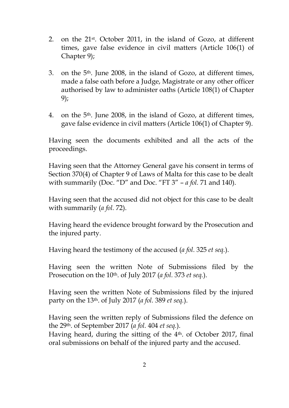- 2. on the 21st . October 2011, in the island of Gozo, at different times, gave false evidence in civil matters (Article 106(1) of Chapter 9);
- 3. on the 5th. June 2008, in the island of Gozo, at different times, made a false oath before a Judge, Magistrate or any other officer authorised by law to administer oaths (Article 108(1) of Chapter 9);
- 4. on the 5<sup>th</sup>. June 2008, in the island of Gozo, at different times, gave false evidence in civil matters (Article 106(1) of Chapter 9).

Having seen the documents exhibited and all the acts of the proceedings.

Having seen that the Attorney General gave his consent in terms of Section 370(4) of Chapter 9 of Laws of Malta for this case to be dealt with summarily (Doc. "D" and Doc. "FT 3" – *a fol.* 71 and 140).

Having seen that the accused did not object for this case to be dealt with summarily (*a fol.* 72).

Having heard the evidence brought forward by the Prosecution and the injured party.

Having heard the testimony of the accused (*a fol.* 325 *et seq.*).

Having seen the written Note of Submissions filed by the Prosecution on the 10th. of July 2017 (*a fol.* 373 *et seq.*).

Having seen the written Note of Submissions filed by the injured party on the 13th. of July 2017 (*a fol.* 389 *et seq.*).

Having seen the written reply of Submissions filed the defence on the 29th. of September 2017 (*a fol.* 404 *et seq.*). Having heard, during the sitting of the 4<sup>th</sup>. of October 2017, final oral submissions on behalf of the injured party and the accused.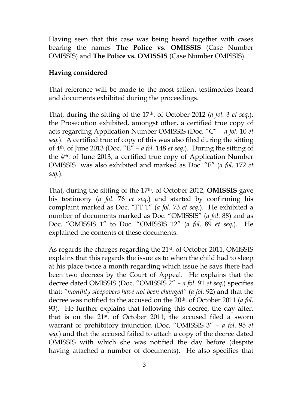Having seen that this case was being heard together with cases bearing the names **The Police vs. OMISSIS** (Case Number OMISSIS) and **The Police vs. OMISSIS** (Case Number OMISSIS).

### **Having considered**

That reference will be made to the most salient testimonies heard and documents exhibited during the proceedings.

That, during the sitting of the 17th. of October 2012 (*a fol.* 3 *et seq.*), the Prosecution exhibited, amongst other, a certified true copy of acts regarding Application Number OMISSIS (Doc. "C" – *a fol.* 10 *et seq.*). A certified true of copy of this was also filed during the sitting of 4th. of June 2013 (Doc. "E" – *a fol.* 148 *et seq.*). During the sitting of the 4th. of June 2013, a certified true copy of Application Number OMISSIS was also exhibited and marked as Doc. "F" (*a fol.* 172 *et seq.*).

That, during the sitting of the 17th. of October 2012, **OMISSIS** gave his testimony (*a fol.* 76 *et seq.*) and started by confirming his complaint marked as Doc. "FT 1" (*a fol.* 73 *et seq.*). He exhibited a number of documents marked as Doc. "OMISSIS" (*a fol.* 88) and as Doc. "OMISSIS 1" to Doc. "OMISSIS 12" (*a fol.* 89 *et seq.*). He explained the contents of these documents.

As regards the charges regarding the 21<sup>st</sup>. of October 2011, OMISSIS explains that this regards the issue as to when the child had to sleep at his place twice a month regarding which issue he says there had been two decrees by the Court of Appeal. He explains that the decree dated OMISSIS (Doc. "OMISSIS 2" – *a fol.* 91 *et seq.*) specifies that: *"monthly sleepovers have not been changed"* (*a fol.* 92) and that the decree was notified to the accused on the 20th. of October 2011 (*a fol.*  93). He further explains that following this decree, the day after, that is on the 21st. of October 2011, the accused filed a sworn warrant of prohibitory injunction (Doc. "OMISSIS 3" – *a fol.* 95 *et seq.*) and that the accused failed to attach a copy of the decree dated OMISSIS with which she was notified the day before (despite having attached a number of documents). He also specifies that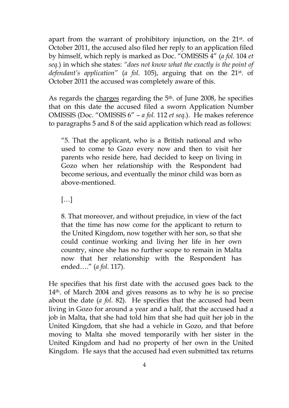apart from the warrant of prohibitory injunction, on the 21st. of October 2011, the accused also filed her reply to an application filed by himself, which reply is marked as Doc. "OMISSIS 4" (*a fol.* 104 *et seq.*) in which she states: *"does not know what the exactly is the point of defendant's application"* (*a fol.* 105), arguing that on the 21st. of October 2011 the accused was completely aware of this.

As regards the charges regarding the 5<sup>th</sup>, of June 2008, he specifies that on this date the accused filed a sworn Application Number OMISSIS (Doc. "OMISSIS 6" – *a fol.* 112 *et seq.*). He makes reference to paragraphs 5 and 8 of the said application which read as follows:

"5. That the applicant, who is a British national and who used to come to Gozo every now and then to visit her parents who reside here, had decided to keep on living in Gozo when her relationship with the Respondent had become serious, and eventually the minor child was born as above-mentioned.

 $[\ldots]$ 

8. That moreover, and without prejudice, in view of the fact that the time has now come for the applicant to return to the United Kingdom, now together with her son, so that she could continue working and living her life in her own country, since she has no further scope to remain in Malta now that her relationship with the Respondent has ended…." (*a fol.* 117).

He specifies that his first date with the accused goes back to the 14th. of March 2004 and gives reasons as to why he is so precise about the date (*a fol.* 82). He specifies that the accused had been living in Gozo for around a year and a half, that the accused had a job in Malta, that she had told him that she had quit her job in the United Kingdom, that she had a vehicle in Gozo, and that before moving to Malta she moved temporarily with her sister in the United Kingdom and had no property of her own in the United Kingdom. He says that the accused had even submitted tax returns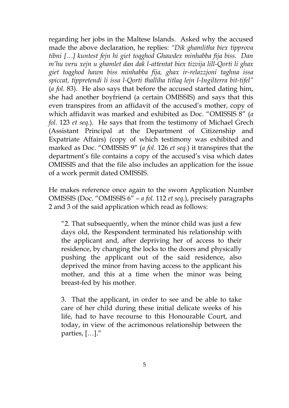regarding her jobs in the Maltese Islands. Asked why the accused made the above declaration, he replies: *"Dik ghamlitha biex tipprova tibni […] kuntest fejn hi giet toqghod Ghawdex minhabba fija biss. Dan m'hu veru xejn u ghamlet dan dak l-attentat biex tizvija lill-Qorti li ghax giet toqghod hawn biss minhabba fija, ghax ir-relazzjoni taghna issa spiccat, tippretendi li issa l-Qorti thalliha titlaq lejn l-Ingilterra bit-tifel"*  (*a fol.* 83). He also says that before the accused started dating him, she had another boyfriend (a certain OMISSIS) and says that this even transpires from an affidavit of the accused's mother, copy of which affidavit was marked and exhibited as Doc. "OMISSIS 8" (*a fol.* 123 *et seq.*). He says that from the testimony of Michael Grech (Assistant Principal at the Department of Citizenship and Expatriate Affairs) (copy of which testimony was exhibited and marked as Doc. "OMISSIS 9" (*a fol.* 126 *et seq.*) it transpires that the department's file contains a copy of the accused's visa which dates OMISSIS and that the file also includes an application for the issue of a work permit dated OMISSIS.

He makes reference once again to the sworn Application Number OMISSIS (Doc. "OMISSIS 6" – *a fol.* 112 *et seq.*), precisely paragraphs 2 and 3 of the said application which read as follows:

"2. That subsequently, when the minor child was just a few days old, the Respondent terminated his relationship with the applicant and, after depriving her of access to their residence, by changing the locks to the doors and physically pushing the applicant out of the said residence, also deprived the minor from having access to the applicant his mother, and this at a time when the minor was being breast-fed by his mother.

3. That the applicant, in order to see and be able to take care of her child during these initial delicate weeks of his life, had to have recourse to this Honourable Court, and today, in view of the acrimonous relationship between the parties, […]."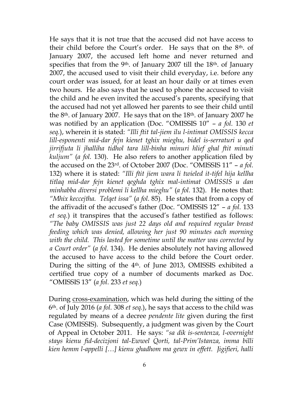He says that it is not true that the accused did not have access to their child before the Court's order. He says that on the 8th. of January 2007, the accused left home and never returned and specifies that from the 9<sup>th</sup>. of January 2007 till the  $18<sup>th</sup>$ . of January 2007, the accused used to visit their child everyday, i.e. before any court order was issued, for at least an hour daily or at times even two hours. He also says that he used to phone the accused to visit the child and he even invited the accused's parents, specifying that the accused had not yet allowed her parents to see their child until the  $8<sup>th</sup>$ . of January 2007. He says that on the  $18<sup>th</sup>$ . of January 2007 he was notified by an application (Doc. "OMISSIS 10" – *a fol.* 130 *et seq.*), wherein it is stated: *"Illi ftit tal-jiem ilu l-intimat OMISSIS kecca lill-esponenti mid-dar fejn kienet tghix mieghu, bidel is-serraturi u qed jirrifjuta li jhalliha tidhol tara lill-binha minuri hlief ghal ftit minuti kuljum"* (*a fol.* 130). He also refers to another application filed by the accused on the 23rd. of October 2007 (Doc. "OMISSIS 11" – *a fol.*  132) where it is stated: *"Illi ftit jiem wara li twieled it-tifel hija kellha titlaq mid-dar fejn kienet qeghda tghix mal-intimat OMISSIS u dan minhabba diversi problemi li kellha mieghu"* (*a fol.* 132). He notes that: *"Mhix keccejtha. Telqet issa"* (*a fol.* 85). He states that from a copy of the affivadit of the accused's father (Doc. "OMISSIS 12" – *a fol.* 133 *et seq.*) it transpires that the accused's father testified as follows: *"The baby OMISSIS was just 22 days old and required regular breast feeding which was denied, allowing her just 90 minutes each morning with the child. This lasted for sometime until the matter was corrected by a Court order"* (*a fol.* 134). He denies absolutely not having allowed the accused to have access to the child before the Court order. During the sitting of the 4th. of June 2013, OMISSIS exhibited a certified true copy of a number of documents marked as Doc. "OMISSIS 13" (*a fol.* 233 *et seq.*)

During cross-examination, which was held during the sitting of the 6th. of July 2016 (*a fol.* 308 *et seq.*), he says that access to the child was regulated by means of a decree *pendente lite* given during the first Case (OMISSIS). Subsequently, a judgment was given by the Court of Appeal in October 2011. He says: *"sa dik is-sentenza, l-overnight stays kienu fid-decizjoni tal-Ewwel Qorti, tal-Prim'Istanza, imma billi kien hemm l-appelli […] kienu ghadhom ma gewx in effett. Jigifieri, halli*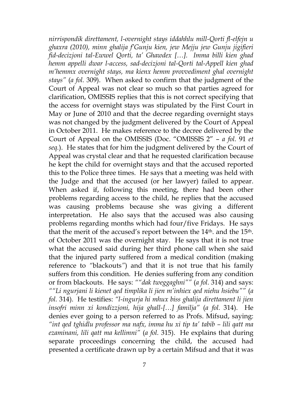*nirrispondik direttament, l-overnight stays iddahhlu mill-Qorti fl-elfejn u ghaxra (2010), minn ghalija f'Gunju kien, jew Mejju jew Gunju jigifieri fid-decizjoni tal-Ewwel Qorti, ta' Ghawdex […]. Imma billi kien ghad hemm appelli dwar l-access, sad-decizjoni tal-Qorti tal-Appell kien ghad m'hemmx overnight stays, ma kienx hemm provvediment ghal overnight stays"* (*a fol.* 309). When asked to confirm that the judgment of the Court of Appeal was not clear so much so that parties agreed for clarification, OMISSIS replies that this is not correct specifying that the access for overnight stays was stipulated by the First Court in May or June of 2010 and that the decree regarding overnight stays was not changed by the judgment delivered by the Court of Appeal in October 2011. He makes reference to the decree delivered by the Court of Appeal on the OMISSIS (Doc. "OMISSIS 2" – *a fol.* 91 *et seq.*). He states that for him the judgment delivered by the Court of Appeal was crystal clear and that he requested clarification because he kept the child for overnight stays and that the accused reported this to the Police three times. He says that a meeting was held with the Judge and that the accused (or her lawyer) failed to appear. When asked if, following this meeting, there had been other problems regarding access to the child, he replies that the accused was causing problems because she was giving a different interpretation. He also says that the accused was also causing problems regarding months which had four/five Fridays. He says that the merit of the accused's report between the 14<sup>th</sup>. and the 15<sup>th</sup>. of October 2011 was the overnight stay. He says that it is not true what the accused said during her third phone call when she said that the injured party suffered from a medical condition (making reference to *"*blackouts*"*) and that it is not true that his family suffers from this condition. He denies suffering from any condition or from blackouts. He says: *""dak tweggaghni""* (*a fol.* 314) and says: *""Li ngurjani li kienet qed timplika li jien m'inhiex qed niehu hsiebu""* (*a fol.* 314). He testifies: *"l-ingurja hi mhux biss ghalija direttament li jien insofri minn xi kondizzjoni, hija ghall-[…] familja"* (*a fol.* 314). He denies ever going to a person referred to as Profs. Mifsud, saying: *"int qed tghidlu professor ma nafx, imma hu xi tip ta' tabib – lili qatt ma ezaminani, lili qatt ma kellimni"* (*a fol.* 315). He explains that during separate proceedings concerning the child, the accused had presented a certificate drawn up by a certain Mifsud and that it was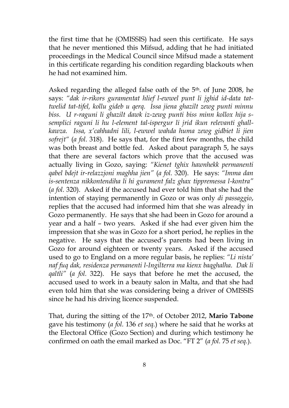the first time that he (OMISSIS) had seen this certificate. He says that he never mentioned this Mifsud, adding that he had initiated proceedings in the Medical Council since Mifsud made a statement in this certificate regarding his condition regarding blackouts when he had not examined him.

Asked regarding the alleged false oath of the 5<sup>th</sup> of June 2008, he says: *"dak ir-rikors guramentat hlief l-ewwel punt li jghid id-data tattwelid tat-tifel, kollu gideb u qerq. Issa jiena ghazilt zewg punti minnu biss. U r-raguni li ghazilt dawk iz-zewg punti biss minn kollox hija ssemplici raguni li hu l-element tal-ispergur li jrid ikun relevanti ghallkawza. Issa, x'cahhadni lili, l-ewwel wahda huma zewg gidbiet li jien sofrejt"* (*a fol.* 318). He says that, for the first few months, the child was both breast and bottle fed. Asked about paragraph 5, he says that there are several factors which prove that the accused was actually living in Gozo, saying: *"Kienet tghix hawnhekk permanenti qabel bdejt ir-relazzjoni maghha jien"* (*a fol.* 320). He says: *"Imma dan is-sentenza nikkontendiha li hi gurament falz ghax tippremessa l-kontra"*  (*a fol.* 320). Asked if the accused had ever told him that she had the intention of staying permanently in Gozo or was only *di passaggio*, replies that the accused had informed him that she was already in Gozo permanently. He says that she had been in Gozo for around a year and a half – two years. Asked if she had ever given him the impression that she was in Gozo for a short period, he replies in the negative. He says that the accused's parents had been living in Gozo for around eighteen or twenty years. Asked if the accused used to go to England on a more regular basis, he replies: *"Li nista' naf fuq dak, residenza permanenti l-Ingilterra ma kienx baqghalha. Dak li qaltli"* (*a fol.* 322). He says that before he met the accused, the accused used to work in a beauty salon in Malta, and that she had even told him that she was considering being a driver of OMISSIS since he had his driving licence suspended.

That, during the sitting of the 17th. of October 2012, **Mario Tabone**  gave his testimony (*a fol.* 136 *et seq.*) where he said that he works at the Electoral Office (Gozo Section) and during which testimony he confirmed on oath the email marked as Doc. "FT 2" (*a fol.* 75 *et seq.*).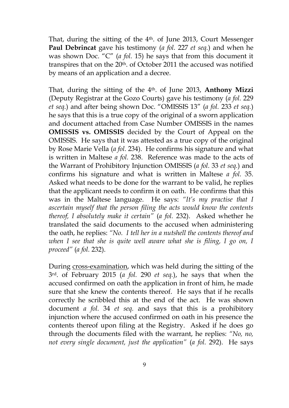That, during the sitting of the 4th. of June 2013, Court Messenger **Paul Debrincat** gave his testimony (*a fol.* 227 *et seq.*) and when he was shown Doc. "C" (*a fol.* 15) he says that from this document it transpires that on the 20<sup>th</sup>. of October 2011 the accused was notified by means of an application and a decree.

That, during the sitting of the 4th. of June 2013, **Anthony Mizzi** (Deputy Registrar at the Gozo Courts) gave his testimony (*a fol.* 229 *et seq.*) and after being shown Doc. "OMISSIS 13" (*a fol.* 233 *et seq.*) he says that this is a true copy of the original of a sworn application and document attached from Case Number OMISSIS in the names **OMISSIS vs. OMISSIS** decided by the Court of Appeal on the OMISSIS. He says that it was attested as a true copy of the original by Rose Marie Vella (*a fol.* 234). He confirms his signature and what is written in Maltese *a fol.* 238. Reference was made to the acts of the Warrant of Prohibitory Injunction OMISSIS (*a fol.* 33 *et seq.*) and confirms his signature and what is written in Maltese *a fol.* 35. Asked what needs to be done for the warrant to be valid, he replies that the applicant needs to confirm it on oath. He confirms that this was in the Maltese language. He says: *"It's my practise that I ascertain myself that the person filing the acts would know the contents thereof, I absolutely make it certain"* (*a fol.* 232). Asked whether he translated the said documents to the accused when administering the oath, he replies: *"No. I tell her in a nutshell the contents thereof and*  when I see that she is quite well aware what she is filing, I go on, I *proceed"* (*a fol.* 232).

During cross-examination, which was held during the sitting of the 3rd. of February 2015 (*a fol.* 290 *et seq.*), he says that when the accused confirmed on oath the application in front of him, he made sure that she knew the contents thereof. He says that if he recalls correctly he scribbled this at the end of the act. He was shown document *a fol.* 34 *et seq.* and says that this is a prohibitory injunction where the accused confirmed on oath in his presence the contents thereof upon filing at the Registry. Asked if he does go through the documents filed with the warrant, he replies: *"No, no, not every single document, just the application"* (*a fol.* 292). He says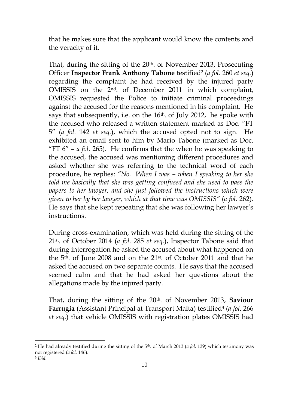that he makes sure that the applicant would know the contents and the veracity of it.

That, during the sitting of the 20th. of November 2013, Prosecuting Officer **Inspector Frank Anthony Tabone** testified<sup>2</sup> (*a fol.* 260 *et seq.*) regarding the complaint he had received by the injured party OMISSIS on the 2nd. of December 2011 in which complaint, OMISSIS requested the Police to initiate criminal proceedings against the accused for the reasons mentioned in his complaint. He says that subsequently, i.e. on the  $16<sup>th</sup>$ . of July 2012, he spoke with the accused who released a written statement marked as Doc. "FT 5" (*a fol.* 142 *et seq.*), which the accused opted not to sign. He exhibited an email sent to him by Mario Tabone (marked as Doc. "FT 6" – *a fol.* 265). He confirms that the when he was speaking to the accused, the accused was mentioning different procedures and asked whether she was referring to the technical word of each procedure, he replies: *"No. When I was – when I speaking to her she told me basically that she was getting confused and she used to pass the papers to her lawyer, and she just followed the instructions which were given to her by her lawyer, which at that time was OMISSIS"* (*a fol.* 262). He says that she kept repeating that she was following her lawyer's instructions.

During cross-examination, which was held during the sitting of the 21st. of October 2014 (*a fol.* 285 *et seq.*), Inspector Tabone said that during interrogation he asked the accused about what happened on the 5th. of June 2008 and on the 21st. of October 2011 and that he asked the accused on two separate counts. He says that the accused seemed calm and that he had asked her questions about the allegations made by the injured party.

That, during the sitting of the 20th. of November 2013, **Saviour Farrugia** (Assistant Principal at Transport Malta) testified<sup>3</sup> (*a fol.* 266 *et seq.*) that vehicle OMISSIS with registration plates OMISSIS had

1

<sup>2</sup> He had already testified during the sitting of the 5th. of March 2013 (*a fol.* 139) which testimony was not registered (*a fol.* 146).

<sup>3</sup> *Ibid.*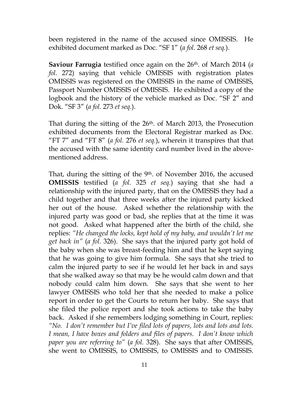been registered in the name of the accused since OMISSIS. He exhibited document marked as Doc. "SF 1" (*a fol.* 268 *et seq.*).

**Saviour Farrugia** testified once again on the 26th. of March 2014 (*a fol.* 272) saying that vehicle OMISSIS with registration plates OMISSIS was registered on the OMISSIS in the name of OMISSIS, Passport Number OMISSIS of OMISSIS. He exhibited a copy of the logbook and the history of the vehicle marked as Doc. "SF 2" and Dok. "SF 3" (*a fol.* 273 *et seq.*).

That during the sitting of the 26th. of March 2013, the Prosecution exhibited documents from the Electoral Registrar marked as Doc. "FT 7" and "FT 8" (*a fol.* 276 *et seq.*), wherein it transpires that that the accused with the same identity card number lived in the abovementioned address.

That, during the sitting of the 9<sup>th</sup>. of November 2016, the accused **OMISSIS** testified (*a fol.* 325 *et seq.*) saying that she had a relationship with the injured party, that on the OMISSIS they had a child together and that three weeks after the injured party kicked her out of the house. Asked whether the relationship with the injured party was good or bad, she replies that at the time it was not good. Asked what happened after the birth of the child, she replies: *"He changed the locks, kept hold of my baby, and wouldn't let me get back in"* (*a fol.* 326). She says that the injured party got hold of the baby when she was breast-feeding him and that he kept saying that he was going to give him formula. She says that she tried to calm the injured party to see if he would let her back in and says that she walked away so that may be he would calm down and that nobody could calm him down. She says that she went to her lawyer OMISSIS who told her that she needed to make a police report in order to get the Courts to return her baby. She says that she filed the police report and she took actions to take the baby back. Asked if she remembers lodging something in Court, replies: *"No. I don't remember but I've filed lots of papers, lots and lots and lots. I mean, I have boxes and folders and files of papers. I don't know which paper you are referring to"* (*a fol.* 328). She says that after OMISSIS, she went to OMISSIS, to OMISSIS, to OMISSIS and to OMISSIS.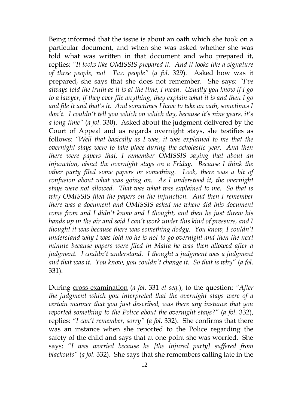Being informed that the issue is about an oath which she took on a particular document, and when she was asked whether she was told what was written in that document and who prepared it, replies: *"It looks like OMISSIS prepared it. And it looks like a signature of three people, no! Two people"* (*a fol.* 329). Asked how was it prepared, she says that she does not remember. She says: *"I've always told the truth as it is at the time, I mean. Usually you know if I go to a lawyer, if they ever file anything, they explain what it is and then I go and file it and that's it. And sometimes I have to take an oath, sometimes I don't. I couldn't tell you which on which day, because it's nine years, it's a long time"* (*a fol.* 330). Asked about the judgment delivered by the Court of Appeal and as regards overnight stays, she testifies as follows: *"Well that basically as I was, it was explained to me that the overnight stays were to take place during the scholastic year. And then there were papers that, I remember OMISSIS saying that about an*  injunction, about the overnight stays on a Friday. Because I think the *other party filed some papers or something. Look, there was a bit of confusion about what was going on. As I understood it, the overnight stays were not allowed. That was what was explained to me. So that is why OMISSIS filed the papers on the injunction. And then I remember there was a document and OMISSIS asked me where did this document come from and I didn't know and I thought, and then he just threw his hands up in the air and said I can't work under this kind of pressure, and I thought it was because there was something dodgy. You know, I couldn't understand why I was told no he is not to go overnight and then the next minute because papers were filed in Malta he was then allowed after a judgment. I couldn't understand. I thought a judgment was a judgment and that was it. You know, you couldn't change it. So that is why"* (*a fol.*  331).

During cross-examination (*a fol.* 331 *et seq.*), to the question: *"After the judgment which you interpreted that the overnight stays were of a certain manner that you just described, was there any instance that you reported something to the Police about the overnight stays?"* (*a fol.* 332), replies: *"I can't remember, sorry"* (*a fol.* 332). She confirms that there was an instance when she reported to the Police regarding the safety of the child and says that at one point she was worried. She says: *"I was worried because he [the injured party] suffered from blackouts"* (*a fol.* 332). She says that she remembers calling late in the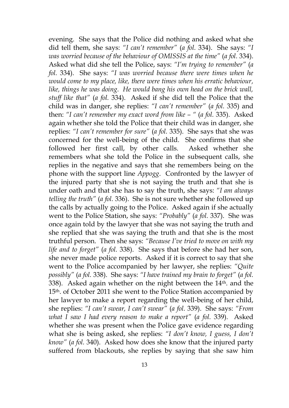evening. She says that the Police did nothing and asked what she did tell them, she says: *"I can't remember"* (*a fol.* 334). She says: *"I was worried because of the behaviour of OMISSIS at the time"* (*a fol.* 334). Asked what did she tell the Police, says: *"I'm trying to remember"* (*a fol.* 334). She says: *"I was worried because there were times when he would come to my place, like, there were times when his erratic behaviour, like, things he was doing. He would bang his own head on the brick wall, stuff like that"* (*a fol.* 334). Asked if she did tell the Police that the child was in danger, she replies: *"I can't remember"* (*a fol.* 335) and then: *"I can't remember my exact word from like – "* (*a fol.* 335). Asked again whether she told the Police that their child was in danger, she replies: *"I can't remember for sure"* (*a fol.* 335). She says that she was concerned for the well-being of the child. She confirms that she followed her first call, by other calls. Asked whether she remembers what she told the Police in the subsequent calls, she replies in the negative and says that she remembers being on the phone with the support line *Appogg*. Confronted by the lawyer of the injured party that she is not saying the truth and that she is under oath and that she has to say the truth, she says: *"I am always telling the truth"* (*a fol.* 336). She is not sure whether she followed up the calls by actually going to the Police. Asked again if she actually went to the Police Station, she says: *"Probably"* (*a fol.* 337). She was once again told by the lawyer that she was not saying the truth and she replied that she was saying the truth and that she is the most truthful person. Then she says: *"Because I've tried to move on with my life and to forget"* (*a fol.* 338). She says that before she had her son, she never made police reports. Asked if it is correct to say that she went to the Police accompanied by her lawyer, she replies: *"Quite possibly"* (*a fol.* 338). She says: *"I have trained my brain to forget"* (*a fol.*  338). Asked again whether on the night between the 14th. and the 15th. of October 2011 she went to the Police Station accompanied by her lawyer to make a report regarding the well-being of her child, she replies: *"I can't swear, I can't swear"* (*a fol.* 339). She says: *"From what I saw I had every reason to make a report"* (*a fol.* 339). Asked whether she was present when the Police gave evidence regarding what she is being asked, she replies: *"I don't know, I guess, I don't know"* (*a fol.* 340). Asked how does she know that the injured party suffered from blackouts, she replies by saying that she saw him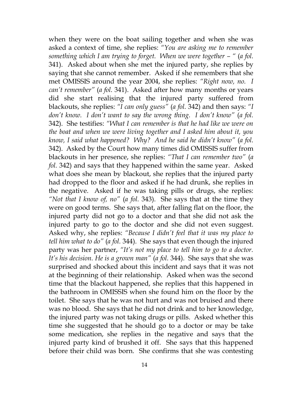when they were on the boat sailing together and when she was asked a context of time, she replies: *"You are asking me to remember something which I am trying to forget. When we were together*  $-$  *" (a fol.* 341). Asked about when she met the injured party, she replies by saying that she cannot remember. Asked if she remembers that she met OMISSIS around the year 2004, she replies: *"Right now, no. I can't remember"* (*a fol.* 341). Asked after how many months or years did she start realising that the injured party suffered from blackouts, she replies: *"I can only guess"* (*a fol.* 342) and then says: *"I don't know. I don't want to say the wrong thing. I don't know"* (*a fol.*  342). She testifies: *"What I can remember is that he had like we were on the boat and when we were living together and I asked him about it, you know, I said what happened? Why? And he said he didn't know"* (*a fol.*  342). Asked by the Court how many times did OMISSIS suffer from blackouts in her presence, she replies: *"That I can remember two"* (*a fol.* 342) and says that they happened within the same year. Asked what does she mean by blackout, she replies that the injured party had dropped to the floor and asked if he had drunk, she replies in the negative. Asked if he was taking pills or drugs, she replies: *"Not that I know of, no"* (*a fol.* 343). She says that at the time they were on good terms. She says that, after falling flat on the floor, the injured party did not go to a doctor and that she did not ask the injured party to go to the doctor and she did not even suggest. Asked why, she replies: *"Because I didn't feel that it was my place to tell him what to do"* (*a fol.* 344). She says that even though the injured party was her partner, *"It's not my place to tell him to go to a doctor. It's his decision. He is a grown man"* (*a fol.* 344). She says that she was surprised and shocked about this incident and says that it was not at the beginning of their relationship. Asked when was the second time that the blackout happened, she replies that this happened in the bathroom in OMISSIS when she found him on the floor by the toilet. She says that he was not hurt and was not bruised and there was no blood. She says that he did not drink and to her knowledge, the injured party was not taking drugs or pills. Asked whether this time she suggested that he should go to a doctor or may be take some medication, she replies in the negative and says that the injured party kind of brushed it off. She says that this happened before their child was born. She confirms that she was contesting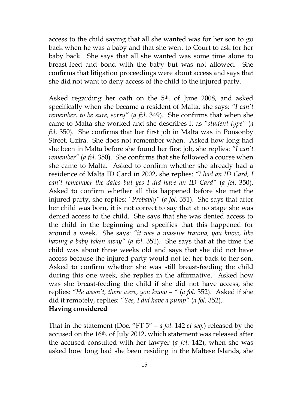access to the child saying that all she wanted was for her son to go back when he was a baby and that she went to Court to ask for her baby back. She says that all she wanted was some time alone to breast-feed and bond with the baby but was not allowed. She confirms that litigation proceedings were about access and says that she did not want to deny access of the child to the injured party.

Asked regarding her oath on the 5<sup>th</sup>. of June 2008, and asked specifically when she became a resident of Malta, she says: *"I can't remember, to be sure, sorry"* (*a fol.* 349). She confirms that when she came to Malta she worked and she describes it as *"student type"* (*a fol.* 350). She confirms that her first job in Malta was in Ponsonby Street, Gzira. She does not remember when. Asked how long had she been in Malta before she found her first job, she replies: *"I can't remember"* (*a fol.* 350). She confirms that she followed a course when she came to Malta. Asked to confirm whether she already had a residence of Malta ID Card in 2002, she replies: *"I had an ID Card, I can't remember the dates but yes I did have an ID Card"* (*a fol.* 350). Asked to confirm whether all this happened before she met the injured party, she replies: *"Probably"* (*a fol.* 351). She says that after her child was born, it is not correct to say that at no stage she was denied access to the child. She says that she was denied access to the child in the beginning and specifies that this happened for around a week. She says: *"it was a massive trauma, you know, like having a baby taken away"* (*a fol.* 351). She says that at the time the child was about three weeks old and says that she did not have access because the injured party would not let her back to her son. Asked to confirm whether she was still breast-feeding the child during this one week, she replies in the affirmative. Asked how was she breast-feeding the child if she did not have access, she replies: *"He wasn't, there were, you know – "* (*a fol.* 352). Asked if she did it remotely, replies: *"Yes, I did have a pump"* (*a fol.* 352). **Having considered**

That in the statement (Doc. "FT 5" – *a fol.* 142 *et seq.*) released by the accused on the 16<sup>th</sup>. of July 2012, which statement was released after the accused consulted with her lawyer (*a fol.* 142), when she was asked how long had she been residing in the Maltese Islands, she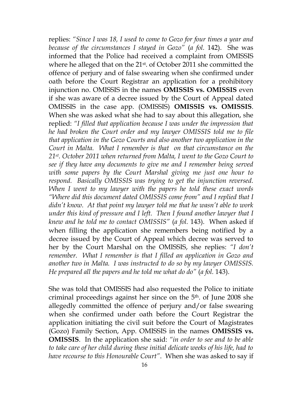replies: *"Since I was 18, I used to come to Gozo for four times a year and because of the circumstances I stayed in Gozo"* (*a fol.* 142). She was informed that the Police had received a complaint from OMISSIS where he alleged that on the 21st. of October 2011 she committed the offence of perjury and of false swearing when she confirmed under oath before the Court Registrar an application for a prohibitory injunction no. OMISSIS in the names **OMISSIS vs. OMISSIS** even if she was aware of a decree issued by the Court of Appeal dated OMISSIS in the case app. (OMISSIS) **OMISSIS vs. OMISSIS**. When she was asked what she had to say about this allegation, she replied: *"I filled that application because I was under the impression that he had broken the Court order and my lawyer OMISSIS told me to file that application in the Gozo Courts and also another two application in the Court in Malta. What I remember is that on that circumstance on the 21st. October 2011 when returned from Malta, I went to the Gozo Court to see if they have any documents to give me and I remember being served with some papers by the Court Marshal giving me just one hour to respond. Basically OMISSIS was trying to get the injunction reversed. When I went to my lawyer with the papers he told these exact words "Where did this document dated OMISSIS come from" and I replied that I didn't know. At that point my lawyer told me that he wasn't able to work under this kind of pressure and I left. Then I found another lawyer that I knew and he told me to contact OMISSIS"* (*a fol.* 143). When asked if when filling the application she remembers being notified by a decree issued by the Court of Appeal which decree was served to her by the Court Marshal on the OMISSIS, she replies: *"I don't remember. What I remember is that I filled an application in Gozo and another two in Malta. I was instructed to do so by my lawyer OMISSIS. He prepared all the papers and he told me what do do"* (*a fol.* 143).

She was told that OMISSIS had also requested the Police to initiate criminal proceedings against her since on the 5th. of June 2008 she allegedly committed the offence of perjury and/or false swearing when she confirmed under oath before the Court Registrar the application initiating the civil suit before the Court of Magistrates (Gozo) Family Section, App. OMISSIS in the names **OMISSIS vs. OMISSIS**. In the application she said: *"in order to see and to be able to take care of her child during these initial delicate weeks of his life, had to have recourse to this Honourable Court"*. When she was asked to say if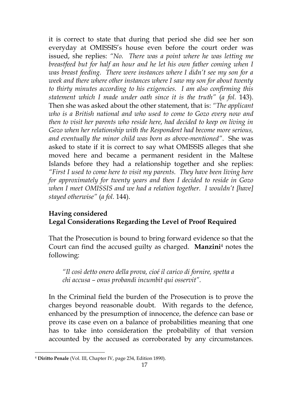it is correct to state that during that period she did see her son everyday at OMISSIS's house even before the court order was issued, she replies: *"No. There was a point where he was letting me breastfeed but for half an hour and he let his own father coming when I was breast feeding. There were instances where I didn't see my son for a week and there where other instances where I saw my son for about twenty to thirty minutes according to his exigencies. I am also confirming this statement which I made under oath since it is the truth"* (*a fol.* 143). Then she was asked about the other statement, that is: *"The applicant who is a British national and who used to come to Gozo every now and then to visit her parents who reside here, had decided to keep on living in Gozo when her relationship with the Respondent had become more serious, and eventually the minor child was born as above-mentioned"*. She was asked to state if it is correct to say what OMISSIS alleges that she moved here and became a permanent resident in the Maltese Islands before they had a relationship together and she replies: *"First I used to come here to visit my parents. They have been living here for approximately for twenty years and then I decided to reside in Gozo when I meet OMISSIS and we had a relation together. I wouldn't [have] stayed otherwise"* (*a fol.* 144).

### **Having considered Legal Considerations Regarding the Level of Proof Required**

That the Prosecution is bound to bring forward evidence so that the Court can find the accused guilty as charged. **Manzini**<sup>4</sup> notes the following:

*"Il così detto onero della prova, cioé il carico di fornire, spetta a chi accusa – onus probandi incumbit qui osservit".*

In the Criminal field the burden of the Prosecution is to prove the charges beyond reasonable doubt. With regards to the defence, enhanced by the presumption of innocence, the defence can base or prove its case even on a balance of probabilities meaning that one has to take into consideration the probability of that version accounted by the accused as corroborated by any circumstances.

<u>.</u>

<sup>4</sup> **Diritto Penale** (Vol. III, Chapter IV, page 234, Edition 1890).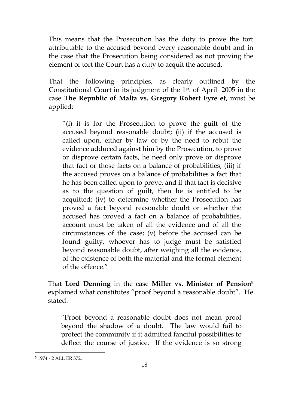This means that the Prosecution has the duty to prove the tort attributable to the accused beyond every reasonable doubt and in the case that the Prosecution being considered as not proving the element of tort the Court has a duty to acquit the accused.

That the following principles, as clearly outlined by the Constitutional Court in its judgment of the 1st. of April 2005 in the case **The Republic of Malta vs. Gregory Robert Eyre et**, must be applied:

"(i) it is for the Prosecution to prove the guilt of the accused beyond reasonable doubt; (ii) if the accused is called upon, either by law or by the need to rebut the evidence adduced against him by the Prosecution, to prove or disprove certain facts, he need only prove or disprove that fact or those facts on a balance of probabilities; (iii) if the accused proves on a balance of probabilities a fact that he has been called upon to prove, and if that fact is decisive as to the question of guilt, then he is entitled to be acquitted; (iv) to determine whether the Prosecution has proved a fact beyond reasonable doubt or whether the accused has proved a fact on a balance of probabilities, account must be taken of all the evidence and of all the circumstances of the case; (v) before the accused can be found guilty, whoever has to judge must be satisfied beyond reasonable doubt, after weighing all the evidence, of the existence of both the material and the formal element of the offence."

That **Lord Denning** in the case **Miller vs. Minister of Pension**<sup>5</sup> explained what constitutes "proof beyond a reasonable doubt". He stated:

"Proof beyond a reasonable doubt does not mean proof beyond the shadow of a doubt. The law would fail to protect the community if it admitted fanciful possibilities to deflect the course of justice. If the evidence is so strong

<u>.</u>

<sup>5</sup> 1974 - 2 ALL ER 372.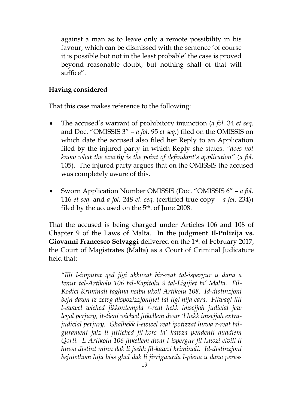against a man as to leave only a remote possibility in his favour, which can be dismissed with the sentence 'of course it is possible but not in the least probable' the case is proved beyond reasonable doubt, but nothing shall of that will suffice".

## **Having considered**

That this case makes reference to the following:

- The accused's warrant of prohibitory injunction (*a fol.* 34 *et seq.*  and Doc. "OMISSIS 3" – *a fol.* 95 *et seq.*) filed on the OMISSIS on which date the accused also filed her Reply to an Application filed by the injured party in which Reply she states: *"does not know what the exactly is the point of defendant's application"* (*a fol.*  105). The injured party argues that on the OMISSIS the accused was completely aware of this.
- Sworn Application Number OMISSIS (Doc. "OMISSIS 6" *a fol.*  116 *et seq.* and *a fol.* 248 *et. seq.* (certified true copy – *a fol.* 234)) filed by the accused on the  $5<sup>th</sup>$ . of June 2008.

That the accused is being charged under Articles 106 and 108 of Chapter 9 of the Laws of Malta. In the judgment **Il-Pulizija vs. Giovanni Francesco Selvaggi** delivered on the 1st. of February 2017, the Court of Magistrates (Malta) as a Court of Criminal Judicature held that:

*"Illi l-imputat qed jigi akkuzat bir-reat tal-ispergur u dana a tenur tal-Artikolu 106 tal-Kapitolu 9 tal-Ligijiet ta' Malta. Fil-Kodici Kriminali taghna nsibu ukoll Artikolu 108. Id-distinzjoni bejn dawn iz-zewg dispozizzjonijiet tal-ligi hija cara. Filwaqt illi l-ewwel wiehed jikkontempla r-reat hekk imsejjah judicial jew legal perjury, it-tieni wiehed jitkellem dwar 'l hekk imsejjah extrajudicial perjury. Ghalhekk l-ewwel reat ipotizzat huwa r-reat talgurament falz li jittiehed fil-kors ta' kawza pendenti quddiem Qorti. L-Artikolu 106 jitkellem dwar l-ispergur fil-kawzi civili li huwa distint minn dak li jsehh fil-kawzi kriminali. Id-distinzjoni bejniethom hija biss ghal dak li jirrigwarda l-piena u dana peress*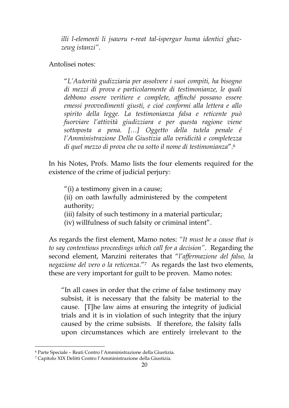*illi l-elementi li jsawru r-reat tal-ispergur huma identici ghazzewg istanzi"*.

Antolisei notes:

"*L'Autorità gudizziaria per assolvere i suoi compiti, ha bisogno di mezzi di prova e particolarmente di testimonianze, le quali debbono essere veritiere e complete, affinché possano essere emessi provvedimenti giusti, e cioé conformi alla lettera e allo spirito della legge. La testimonianza falsa e reticente può fuorviare l'attività giudizziara e per questa ragione viene sottoposta a pena. […] Oggetto della tutela penale é l'Amministrazione Della Giustizia alla veridicità e completezza di quel mezzo di prova che va sotto il nome di testimonianza*".<sup>6</sup>

In his Notes, Profs. Mamo lists the four elements required for the existence of the crime of judicial perjury:

"(i) a testimony given in a cause; (ii) on oath lawfully administered by the competent authority; (iii) falsity of such testimony in a material particular;

(iv) willfulness of such falsity or criminal intent".

As regards the first element, Mamo notes: *"It must be a cause that is to say contentious proceedings which call for a decision"*. Regarding the second element, Manzini reiterates that "*l'affermazione del falso, la*  negazione del vero o la reticenza."<sup>7</sup> As regards the last two elements, these are very important for guilt to be proven. Mamo notes:

"In all cases in order that the crime of false testimony may subsist, it is necessary that the falsity be material to the cause. [T]he law aims at ensuring the integrity of judicial trials and it is in violation of such integrity that the injury caused by the crime subsists. If therefore, the falsity falls upon circumstances which are entirely irrelevant to the

1

<sup>6</sup> Parte Speciale – Reati Contro l'Amministrazione della Giustizia.

<sup>7</sup> Capitolo XIX Delitti Contro l'Amministrazione della Giustizia.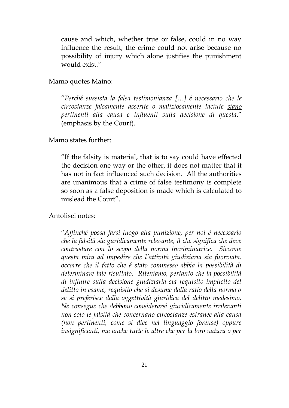cause and which, whether true or false, could in no way influence the result, the crime could not arise because no possibility of injury which alone justifies the punishment would exist."

Mamo quotes Maino:

"*Perché sussista la falsa testimonianza […] é necessario che le circostanze falsamente asserite o maliziosamente taciute siano pertinenti alla causa e influenti sulla decisione di questa*." (emphasis by the Court).

Mamo states further:

"If the falsity is material, that is to say could have effected the decision one way or the other, it does not matter that it has not in fact influenced such decision. All the authorities are unanimous that a crime of false testimony is complete so soon as a false deposition is made which is calculated to mislead the Court".

Antolisei notes:

"*Affinché possa farsi luogo alla punizione, per noi é necessario che la falsità sia guridicamente relevante, il che significa che deve contrastare con lo scopo della norma incriminatrice. Siccome questa mira ad impedire che l'attività giudiziaria sia fuorviata, occorre che il fatto che é stato commesso abbia la possibilità di determinare tale risultato. Riteniamo, pertanto che la possibilità di influire sulla decisione giudiziaria sia requisito implicito del delitto in esame, requisito che si desume dalla ratio della norma o se si preferisce dalla oggettività giuridica del delitto medesimo. Ne consegue che debbono considerarsi giuridicamente irrilevanti non solo le falsità che concernano circostanze estranee alla causa (non pertinenti, come si dice nel linguaggio forense) oppure insignificanti, ma anche tutte le altre che per la loro natura o per*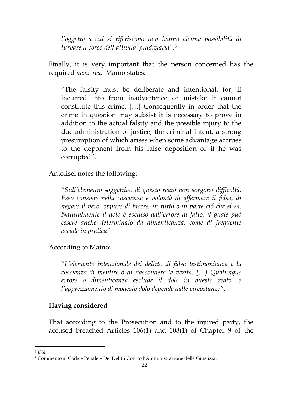*l'oggetto a cui si riferiscono non hanno alcuna possibilità di turbare il corso dell'attivita' giudiziaria"*. 8

Finally, it is very important that the person concerned has the required *mens rea*.Mamo states:

"The falsity must be deliberate and intentional, for, if incurred into from inadvertence or mistake it cannot constitute this crime. […] Consequently in order that the crime in question may subsist it is necessary to prove in addition to the actual falsity and the possible injury to the due administration of justice, the criminal intent, a strong presumption of which arises when some advantage accrues to the deponent from his false deposition or if he was corrupted".

Antolisei notes the following:

*"Sull'elemento soggettivo di questo reato non sorgono difficoltà. Esso consiste nella coscienza e volontà di affermare il falso, di negare il vero, oppure di tacere, in tutto o in parte ció che si sa. Naturalmente il dolo é escluso dall'errore di fatto, il quale puó essere anche determinato da dimenticanza, come di frequente accade in pratica".*

### According to Maino:

*"L'elemento intenzionale del delitto di falsa testimonianza é la coscienza di mentire o di nascondere la verità. […] Qualunque errore o dimenticanza esclude il dolo in questo reato, e l'apprezzamento di modesto dolo depende dalle circostanze"*. 9

### **Having considered**

That according to the Prosecution and to the injured party, the accused breached Articles 106(1) and 108(1) of Chapter 9 of the

1

<sup>8</sup> *Ibid.*

<sup>9</sup> Commento al Codice Penale – Dei Delitti Contro l'Amministrazione della Giustizia.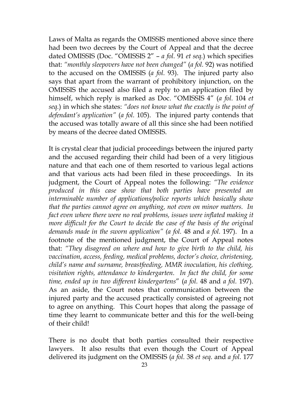Laws of Malta as regards the OMISSIS mentioned above since there had been two decrees by the Court of Appeal and that the decree dated OMISSIS (Doc. "OMISSIS 2" – *a fol.* 91 *et seq.*) which specifies that: *"monthly sleepovers have not been changed"* (*a fol.* 92) was notified to the accused on the OMISSIS (*a fol.* 93). The injured party also says that apart from the warrant of prohibitory injunction, on the OMISSIS the accused also filed a reply to an application filed by himself, which reply is marked as Doc. "OMISSIS 4" (*a fol.* 104 *et seq.*) in which she states: *"does not know what the exactly is the point of defendant's application"* (*a fol.* 105). The injured party contends that the accused was totally aware of all this since she had been notified by means of the decree dated OMISSIS.

It is crystal clear that judicial proceedings between the injured party and the accused regarding their child had been of a very litigious nature and that each one of them resorted to various legal actions and that various acts had been filed in these proceedings. In its judgment, the Court of Appeal notes the following: *"The evidence produced in this case show that both parties have presented an interminable number of applications/police reports which basically show that the parties cannot agree on anything, not even on minor matters. In fact even where there were no real problems, issues were inflated making it more difficult for the Court to decide the case of the basis of the original demands made in the sworn application" (a fol.* 48 and *a fol.* 197). In a footnote of the mentioned judgment, the Court of Appeal notes that: *"They disagreed on where and how to give birth to the child, his vaccination, access, feeding, medical problems, doctor's choice, christening, child's name and surname, breastfeeding, MMR inoculation, his clothing, visitation rights, attendance to kindergarten. In fact the child, for some time, ended up in two different kindergartens*" (*a fol.* 48 and *a fol.* 197). As an aside, the Court notes that communication between the injured party and the accused practically consisted of agreeing not to agree on anything. This Court hopes that along the passage of time they learnt to communicate better and this for the well-being of their child!

There is no doubt that both parties consulted their respective lawyers. It also results that even though the Court of Appeal delivered its judgment on the OMISSIS (*a fol.* 38 *et seq.* and *a fol.* 177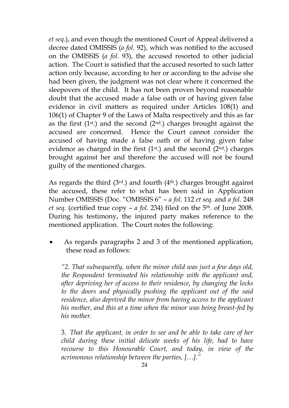*et seq.*), and even though the mentioned Court of Appeal delivered a decree dated OMISSIS (*a fol.* 92), which was notified to the accused on the OMISSIS (*a fol.* 93), the accused resorted to other judicial action. The Court is satisfied that the accused resorted to such latter action only because, according to her or according to the advise she had been given, the judgment was not clear where it concerned the sleepovers of the child. It has not been proven beyond reasonable doubt that the accused made a false oath or of having given false evidence in civil matters as required under Articles 108(1) and 106(1) of Chapter 9 of the Laws of Malta respectively and this as far as the first  $(1^{st})$  and the second  $(2^{nd})$  charges brought against the accused are concerned. Hence the Court cannot consider the accused of having made a false oath or of having given false evidence as charged in the first  $(1<sup>st</sup>)$  and the second  $(2<sup>nd</sup>)$  charges brought against her and therefore the accused will not be found guilty of the mentioned charges.

As regards the third  $(3<sup>rd</sup>)$  and fourth  $(4<sup>th</sup>)$  charges brought against the accused, these refer to what has been said in Application Number OMISSIS (Doc. "OMISSIS 6" – *a fol.* 112 *et seq.* and *a fol.* 248 *et seq.* (certified true copy – *a fol.* 234) filed on the 5th. of June 2008. During his testimony, the injured party makes reference to the mentioned application. The Court notes the following:

 As regards paragraphs 2 and 3 of the mentioned application, these read as follows:

*"2. That subsequently, when the minor child was just a few days old, the Respondent terminated his relationship with the applicant and, after depriving her of access to their residence, by changing the locks to the doors and physically pushing the applicant out of the said residence, also deprived the minor from having access to the applicant his mother, and this at a time when the minor was being breast-fed by his mother.*

3. *That the applicant, in order to see and be able to take care of her child during these initial delicate weeks of his life, had to have recourse to this Honourable Court, and today, in view of the acrimonous relationship between the parties, […]."*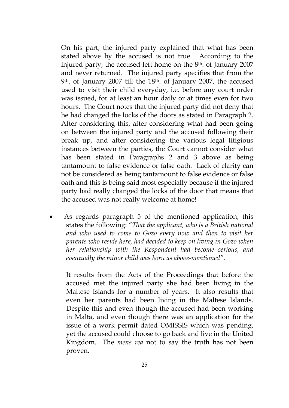On his part, the injured party explained that what has been stated above by the accused is not true. According to the injured party, the accused left home on the 8<sup>th</sup>. of January 2007 and never returned. The injured party specifies that from the 9th. of January 2007 till the 18th. of January 2007, the accused used to visit their child everyday, i.e. before any court order was issued, for at least an hour daily or at times even for two hours. The Court notes that the injured party did not deny that he had changed the locks of the doors as stated in Paragraph 2. After considering this, after considering what had been going on between the injured party and the accused following their break up, and after considering the various legal litigious instances between the parties, the Court cannot consider what has been stated in Paragraphs 2 and 3 above as being tantamount to false evidence or false oath. Lack of clarity can not be considered as being tantamount to false evidence or false oath and this is being said most especially because if the injured party had really changed the locks of the door that means that the accused was not really welcome at home!

 As regards paragraph 5 of the mentioned application, this states the following: *"That the applicant, who is a British national and who used to come to Gozo every now and then to visit her parents who reside here, had decided to keep on living in Gozo when her relationship with the Respondent had become serious, and eventually the minor child was born as above-mentioned"*.

It results from the Acts of the Proceedings that before the accused met the injured party she had been living in the Maltese Islands for a number of years. It also results that even her parents had been living in the Maltese Islands. Despite this and even though the accused had been working in Malta, and even though there was an application for the issue of a work permit dated OMISSIS which was pending, yet the accused could choose to go back and live in the United Kingdom. The *mens rea* not to say the truth has not been proven.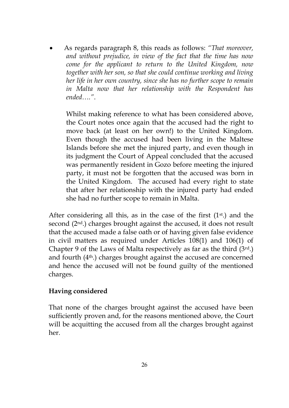As regards paragraph 8, this reads as follows: *"That moreover, and without prejudice, in view of the fact that the time has now come for the applicant to return to the United Kingdom, now together with her son, so that she could continue working and living her life in her own country, since she has no further scope to remain in Malta now that her relationship with the Respondent has ended…."*.

Whilst making reference to what has been considered above, the Court notes once again that the accused had the right to move back (at least on her own!) to the United Kingdom. Even though the accused had been living in the Maltese Islands before she met the injured party, and even though in its judgment the Court of Appeal concluded that the accused was permanently resident in Gozo before meeting the injured party, it must not be forgotten that the accused was born in the United Kingdom. The accused had every right to state that after her relationship with the injured party had ended she had no further scope to remain in Malta.

After considering all this, as in the case of the first  $(1<sup>st</sup>)$  and the second (2nd.) charges brought against the accused, it does not result that the accused made a false oath or of having given false evidence in civil matters as required under Articles 108(1) and 106(1) of Chapter 9 of the Laws of Malta respectively as far as the third (3rd.) and fourth (4th.) charges brought against the accused are concerned and hence the accused will not be found guilty of the mentioned charges.

### **Having considered**

That none of the charges brought against the accused have been sufficiently proven and, for the reasons mentioned above, the Court will be acquitting the accused from all the charges brought against her.